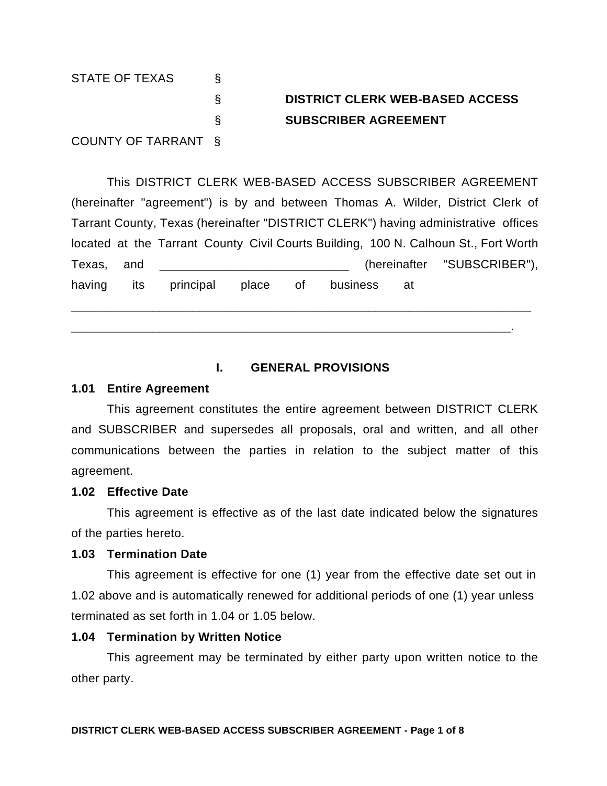STATE OF TEXAS § § **DISTRICT CLERK WEB-BASED ACCESS** § **SUBSCRIBER AGREEMENT** COUNTY OF TARRANT §

This DISTRICT CLERK WEB-BASED ACCESS SUBSCRIBER AGREEMENT (hereinafter "agreement") is by and between Thomas A. Wilder, District Clerk of Tarrant County, Texas (hereinafter "DISTRICT CLERK") having administrative offices located at the Tarrant County Civil Courts Building, 100 N. Calhoun St., Fort Worth Texas, and \_\_\_\_\_\_\_\_\_\_\_\_\_\_\_\_\_\_\_\_\_\_\_\_\_\_\_\_ (hereinafter "SUBSCRIBER"), having its principal place of business at

## **I. GENERAL PROVISIONS**

\_\_\_\_\_\_\_\_\_\_\_\_\_\_\_\_\_\_\_\_\_\_\_\_\_\_\_\_\_\_\_\_\_\_\_\_\_\_\_\_\_\_\_\_\_\_\_\_\_\_\_\_\_\_\_\_\_\_\_\_\_\_\_\_\_\_\_\_

\_\_\_\_\_\_\_\_\_\_\_\_\_\_\_\_\_\_\_\_\_\_\_\_\_\_\_\_\_\_\_\_\_\_\_\_\_\_\_\_\_\_\_\_\_\_\_\_\_\_\_\_\_\_\_\_\_\_\_\_\_\_\_\_\_.

#### **1.01 Entire Agreement**

This agreement constitutes the entire agreement between DISTRICT CLERK and SUBSCRIBER and supersedes all proposals, oral and written, and all other communications between the parties in relation to the subject matter of this agreement.

#### **1.02 Effective Date**

This agreement is effective as of the last date indicated below the signatures of the parties hereto.

#### **1.03 Termination Date**

This agreement is effective for one (1) year from the effective date set out in 1.02 above and is automatically renewed for additional periods of one (1) year unless terminated as set forth in 1.04 or 1.05 below.

## **1.04 Termination by Written Notice**

This agreement may be terminated by either party upon written notice to the other party.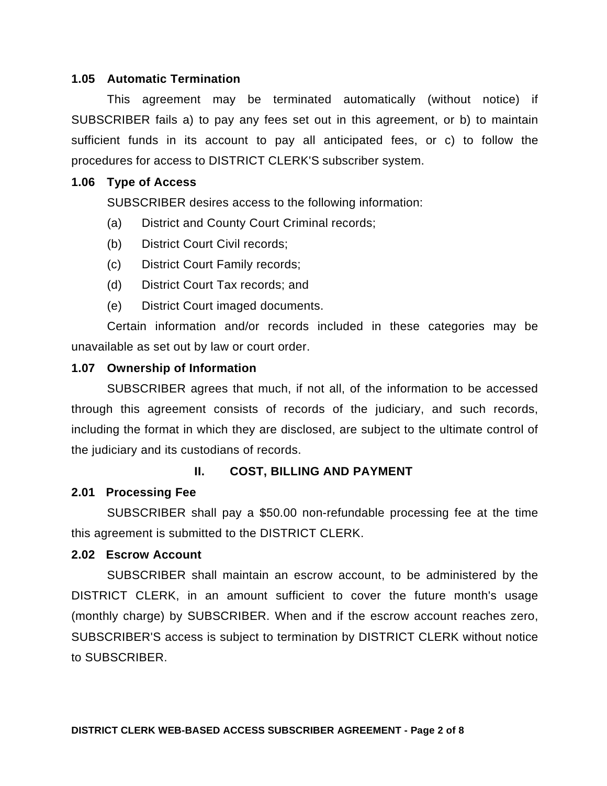#### **1.05 Automatic Termination**

This agreement may be terminated automatically (without notice) if SUBSCRIBER fails a) to pay any fees set out in this agreement, or b) to maintain sufficient funds in its account to pay all anticipated fees, or c) to follow the procedures for access to DISTRICT CLERK'S subscriber system.

#### **1.06 Type of Access**

SUBSCRIBER desires access to the following information:

- (a) District and County Court Criminal records;
- (b) District Court Civil records;
- (c) District Court Family records;
- (d) District Court Tax records; and
- (e) District Court imaged documents.

Certain information and/or records included in these categories may be unavailable as set out by law or court order.

## **1.07 Ownership of Information**

SUBSCRIBER agrees that much, if not all, of the information to be accessed through this agreement consists of records of the judiciary, and such records, including the format in which they are disclosed, are subject to the ultimate control of the judiciary and its custodians of records.

## **II. COST, BILLING AND PAYMENT**

## **2.01 Processing Fee**

SUBSCRIBER shall pay a \$50.00 non-refundable processing fee at the time this agreement is submitted to the DISTRICT CLERK.

## **2.02 Escrow Account**

SUBSCRIBER shall maintain an escrow account, to be administered by the DISTRICT CLERK, in an amount sufficient to cover the future month's usage (monthly charge) by SUBSCRIBER. When and if the escrow account reaches zero, SUBSCRIBER'S access is subject to termination by DISTRICT CLERK without notice to SUBSCRIBER.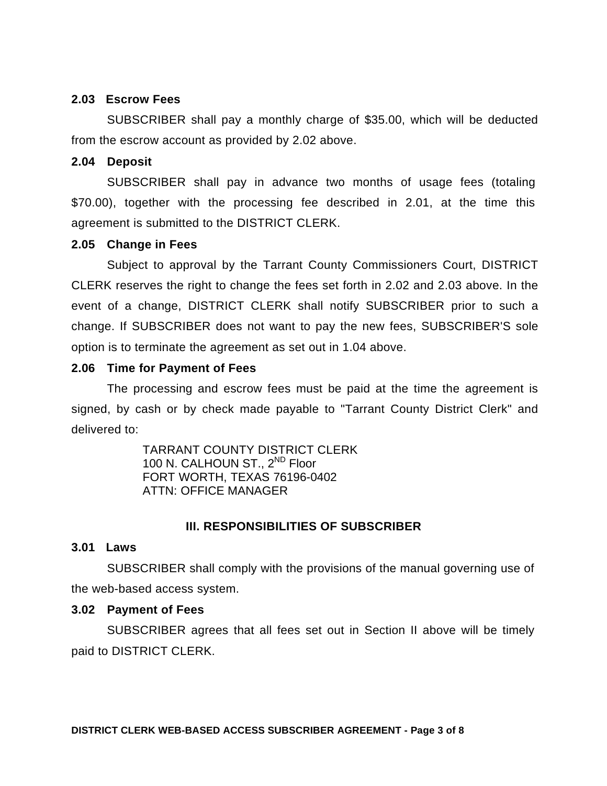#### **2.03 Escrow Fees**

SUBSCRIBER shall pay a monthly charge of \$35.00, which will be deducted from the escrow account as provided by 2.02 above.

### **2.04 Deposit**

SUBSCRIBER shall pay in advance two months of usage fees (totaling \$70.00), together with the processing fee described in 2.01, at the time this agreement is submitted to the DISTRICT CLERK.

#### **2.05 Change in Fees**

Subject to approval by the Tarrant County Commissioners Court, DISTRICT CLERK reserves the right to change the fees set forth in 2.02 and 2.03 above. In the event of a change, DISTRICT CLERK shall notify SUBSCRIBER prior to such a change. If SUBSCRIBER does not want to pay the new fees, SUBSCRIBER'S sole option is to terminate the agreement as set out in 1.04 above.

## **2.06 Time for Payment of Fees**

The processing and escrow fees must be paid at the time the agreement is signed, by cash or by check made payable to "Tarrant County District Clerk" and delivered to:

> TARRANT COUNTY DISTRICT CLERK 100 N. CALHOUN ST., 2<sup>ND</sup> Floor FORT WORTH, TEXAS 76196-0402 ATTN: OFFICE MANAGER

## **III. RESPONSIBILITIES OF SUBSCRIBER**

## **3.01 Laws**

SUBSCRIBER shall comply with the provisions of the manual governing use of the web-based access system.

#### **3.02 Payment of Fees**

SUBSCRIBER agrees that all fees set out in Section II above will be timely paid to DISTRICT CLERK.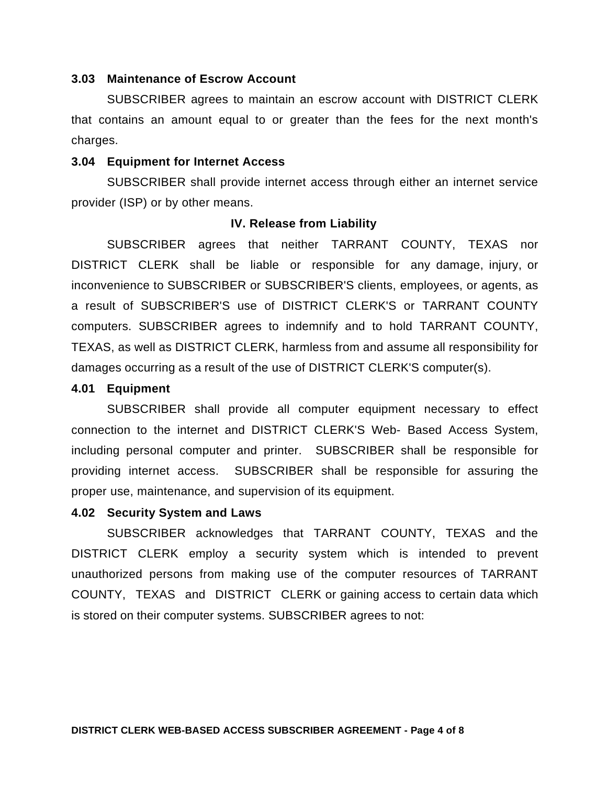#### **3.03 Maintenance of Escrow Account**

SUBSCRIBER agrees to maintain an escrow account with DISTRICT CLERK that contains an amount equal to or greater than the fees for the next month's charges.

#### **3.04 Equipment for Internet Access**

SUBSCRIBER shall provide internet access through either an internet service provider (ISP) or by other means.

#### **IV. Release from Liability**

SUBSCRIBER agrees that neither TARRANT COUNTY, TEXAS nor DISTRICT CLERK shall be liable or responsible for any damage, injury, or inconvenience to SUBSCRIBER or SUBSCRIBER'S clients, employees, or agents, as a result of SUBSCRIBER'S use of DISTRICT CLERK'S or TARRANT COUNTY computers. SUBSCRIBER agrees to indemnify and to hold TARRANT COUNTY, TEXAS, as well as DISTRICT CLERK, harmless from and assume all responsibility for damages occurring as a result of the use of DISTRICT CLERK'S computer(s).

#### **4.01 Equipment**

SUBSCRIBER shall provide all computer equipment necessary to effect connection to the internet and DISTRICT CLERK'S Web- Based Access System, including personal computer and printer. SUBSCRIBER shall be responsible for providing internet access. SUBSCRIBER shall be responsible for assuring the proper use, maintenance, and supervision of its equipment.

#### **4.02 Security System and Laws**

SUBSCRIBER acknowledges that TARRANT COUNTY, TEXAS and the DISTRICT CLERK employ a security system which is intended to prevent unauthorized persons from making use of the computer resources of TARRANT COUNTY, TEXAS and DISTRICT CLERK or gaining access to certain data which is stored on their computer systems. SUBSCRIBER agrees to not: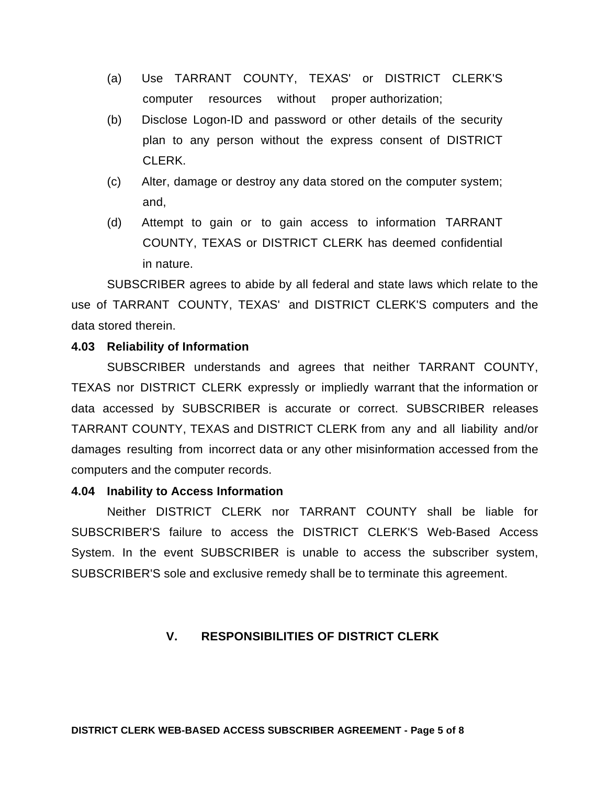- (a) Use TARRANT COUNTY, TEXAS' or DISTRICT CLERK'S computer resources without proper authorization;
- (b) Disclose Logon-ID and password or other details of the security plan to any person without the express consent of DISTRICT CLERK.
- (c) Alter, damage or destroy any data stored on the computer system; and,
- (d) Attempt to gain or to gain access to information TARRANT COUNTY, TEXAS or DISTRICT CLERK has deemed confidential in nature.

SUBSCRIBER agrees to abide by all federal and state laws which relate to the use of TARRANT COUNTY, TEXAS' and DISTRICT CLERK'S computers and the data stored therein.

## **4.03 Reliability of Information**

SUBSCRIBER understands and agrees that neither TARRANT COUNTY, TEXAS nor DISTRICT CLERK expressly or impliedly warrant that the information or data accessed by SUBSCRIBER is accurate or correct. SUBSCRIBER releases TARRANT COUNTY, TEXAS and DISTRICT CLERK from any and all liability and/or damages resulting from incorrect data or any other misinformation accessed from the computers and the computer records.

## **4.04 Inability to Access Information**

Neither DISTRICT CLERK nor TARRANT COUNTY shall be liable for SUBSCRIBER'S failure to access the DISTRICT CLERK'S Web-Based Access System. In the event SUBSCRIBER is unable to access the subscriber system, SUBSCRIBER'S sole and exclusive remedy shall be to terminate this agreement.

## **V. RESPONSIBILITIES OF DISTRICT CLERK**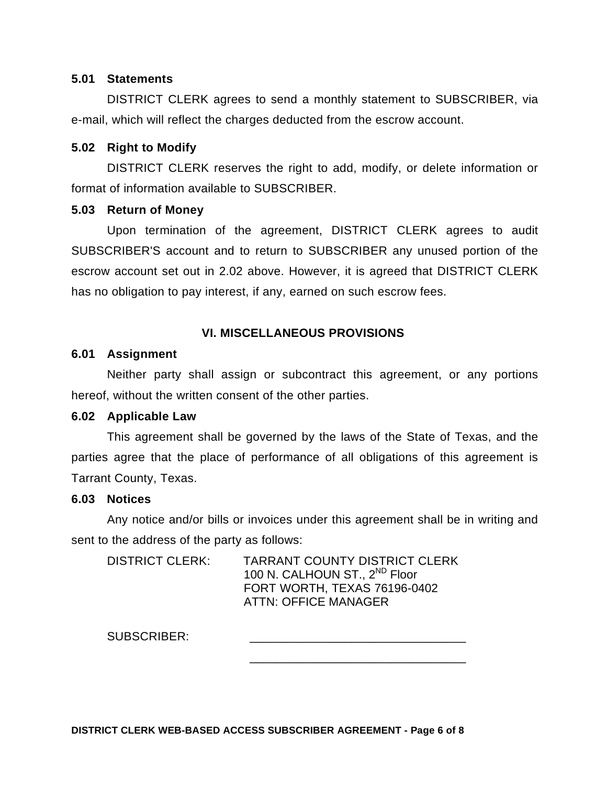#### **5.01 Statements**

DISTRICT CLERK agrees to send a monthly statement to SUBSCRIBER, via e-mail, which will reflect the charges deducted from the escrow account.

#### **5.02 Right to Modify**

DISTRICT CLERK reserves the right to add, modify, or delete information or format of information available to SUBSCRIBER.

#### **5.03 Return of Money**

Upon termination of the agreement, DISTRICT CLERK agrees to audit SUBSCRIBER'S account and to return to SUBSCRIBER any unused portion of the escrow account set out in 2.02 above. However, it is agreed that DISTRICT CLERK has no obligation to pay interest, if any, earned on such escrow fees.

## **VI. MISCELLANEOUS PROVISIONS**

#### **6.01 Assignment**

Neither party shall assign or subcontract this agreement, or any portions hereof, without the written consent of the other parties.

## **6.02 Applicable Law**

This agreement shall be governed by the laws of the State of Texas, and the parties agree that the place of performance of all obligations of this agreement is Tarrant County, Texas.

## **6.03 Notices**

Any notice and/or bills or invoices under this agreement shall be in writing and sent to the address of the party as follows:

\_\_\_\_\_\_\_\_\_\_\_\_\_\_\_\_\_\_\_\_\_\_\_\_\_\_\_\_\_\_\_\_

DISTRICT CLERK: TARRANT COUNTY DISTRICT CLERK 100 N. CALHOUN ST., 2<sup>ND</sup> Floor FORT WORTH, TEXAS 76196-0402 ATTN: OFFICE MANAGER

SUBSCRIBER:

**DISTRICT CLERK WEB-BASED ACCESS SUBSCRIBER AGREEMENT - Page 6 of 8**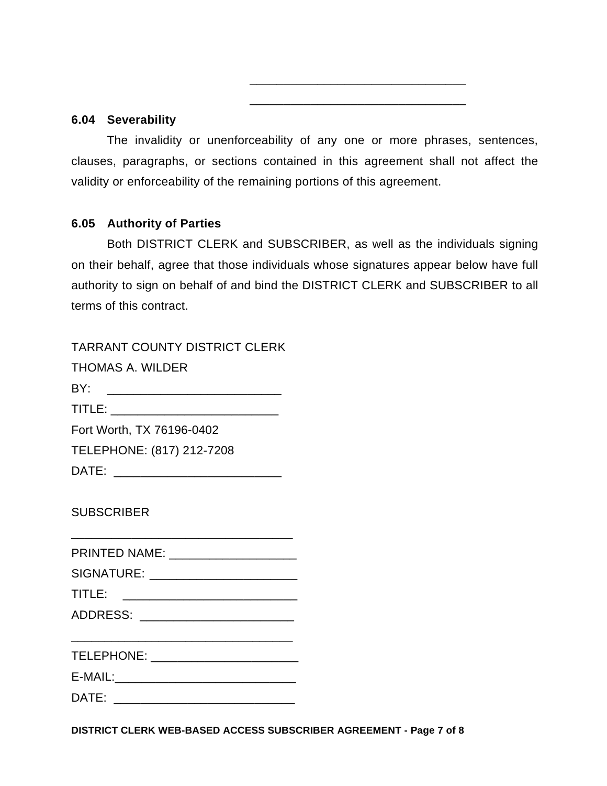#### **6.04 Severability**

The invalidity or unenforceability of any one or more phrases, sentences, clauses, paragraphs, or sections contained in this agreement shall not affect the validity or enforceability of the remaining portions of this agreement.

\_\_\_\_\_\_\_\_\_\_\_\_\_\_\_\_\_\_\_\_\_\_\_\_\_\_\_\_\_\_\_\_

\_\_\_\_\_\_\_\_\_\_\_\_\_\_\_\_\_\_\_\_\_\_\_\_\_\_\_\_\_\_\_\_

## **6.05 Authority of Parties**

Both DISTRICT CLERK and SUBSCRIBER, as well as the individuals signing on their behalf, agree that those individuals whose signatures appear below have full authority to sign on behalf of and bind the DISTRICT CLERK and SUBSCRIBER to all terms of this contract.

| <b>TARRANT COUNTY DISTRICT CLERK</b><br><b>THOMAS A. WILDER</b> |
|-----------------------------------------------------------------|
| BY:                                                             |
| TITLE: ________________________                                 |
| Fort Worth, TX 76196-0402                                       |
| TELEPHONE: (817) 212-7208                                       |
| DATE: ________________________                                  |
| <b>SUBSCRIBER</b>                                               |
|                                                                 |
| SIGNATURE: _______________________                              |
| TITLE:                                                          |
|                                                                 |
| TELEPHONE: _______________________                              |
|                                                                 |
|                                                                 |